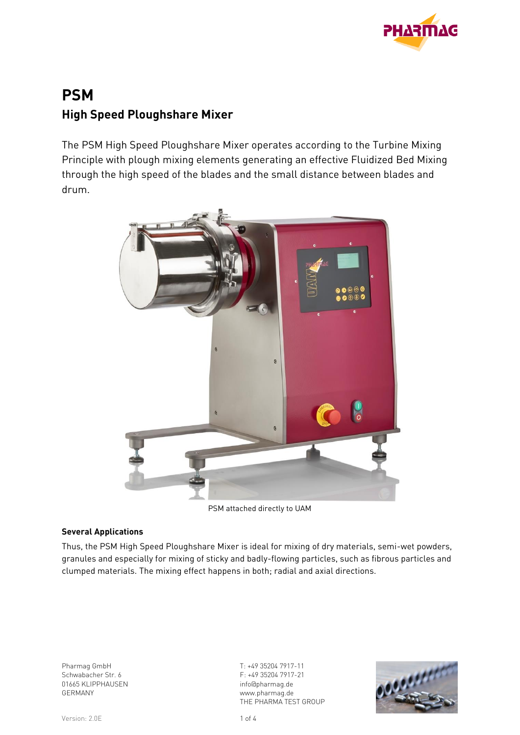

# **PSM High Speed Ploughshare Mixer**

The PSM High Speed Ploughshare Mixer operates according to the Turbine Mixing Principle with plough mixing elements generating an effective Fluidized Bed Mixing through the high speed of the blades and the small distance between blades and drum.



PSM attached directly to UAM

#### **Several Applications**

Thus, the PSM High Speed Ploughshare Mixer is ideal for mixing of dry materials, semi-wet powders, granules and especially for mixing of sticky and badly-flowing particles, such as fibrous particles and clumped materials. The mixing effect happens in both; radial and axial directions.

Pharmag GmbH Schwabacher Str. 6 01665 KLIPPHAUSEN GERMANY

T: +49 35204 7917-11 F: +49 35204 7917-21 info@pharmag.de www.pharmag.de THE PHARMA TEST GROUP

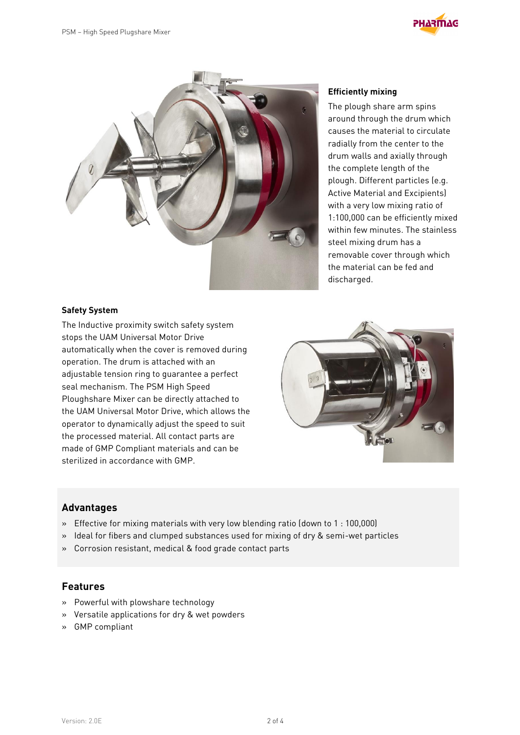



#### **Safety System**

The Inductive proximity switch safety system stops the UAM Universal Motor Drive automatically when the cover is removed during operation. The drum is attached with an adjustable tension ring to guarantee a perfect seal mechanism. The PSM High Speed Ploughshare Mixer can be directly attached to the UAM Universal Motor Drive, which allows the operator to dynamically adjust the speed to suit the processed material. All contact parts are made of GMP Compliant materials and can be sterilized in accordance with GMP.



#### **Advantages**

- » Effective for mixing materials with very low blending ratio (down to 1 : 100,000)
- » Ideal for fibers and clumped substances used for mixing of dry & semi-wet particles
- » Corrosion resistant, medical & food grade contact parts

#### **Features**

- » Powerful with plowshare technology
- » Versatile applications for dry & wet powders
- » GMP compliant

#### **Efficiently mixing**

The plough share arm spins around through the drum which causes the material to circulate radially from the center to the drum walls and axially through the complete length of the plough. Different particles (e.g. Active Material and Excipients) with a very low mixing ratio of 1:100,000 can be efficiently mixed within few minutes. The stainless steel mixing drum has a removable cover through which the material can be fed and discharged.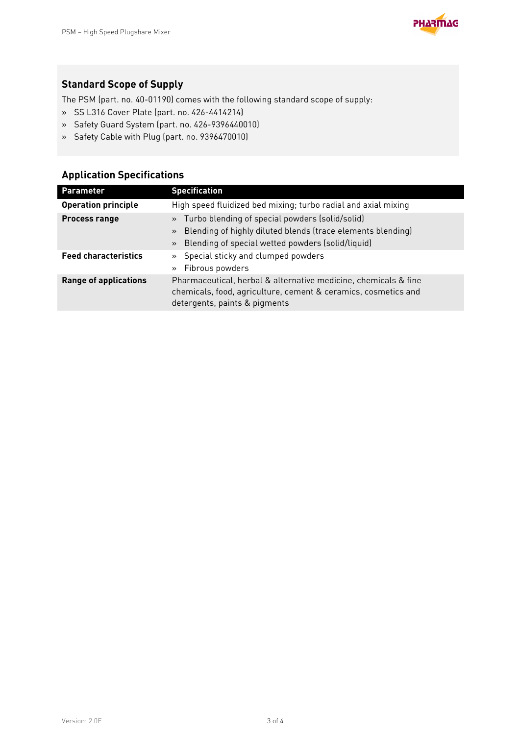

## **Standard Scope of Supply**

The PSM (part. no. 40-01190) comes with the following standard scope of supply:

- » SS L316 Cover Plate (part. no. 426-4414214)
- » Safety Guard System (part. no. 426-9396440010)
- » Safety Cable with Plug (part. no. 9396470010)

## **Application Specifications**

| <b>Parameter</b>             | <b>Specification</b>                                                                                                                                                                     |
|------------------------------|------------------------------------------------------------------------------------------------------------------------------------------------------------------------------------------|
| <b>Operation principle</b>   | High speed fluidized bed mixing; turbo radial and axial mixing                                                                                                                           |
| <b>Process range</b>         | » Turbo blending of special powders (solid/solid)<br>Blending of highly diluted blends (trace elements blending)<br>$\rightarrow$<br>» Blending of special wetted powders (solid/liquid) |
| <b>Feed characteristics</b>  | » Special sticky and clumped powders<br>» Fibrous powders                                                                                                                                |
| <b>Range of applications</b> | Pharmaceutical, herbal & alternative medicine, chemicals & fine<br>chemicals, food, agriculture, cement & ceramics, cosmetics and<br>detergents, paints & pigments                       |